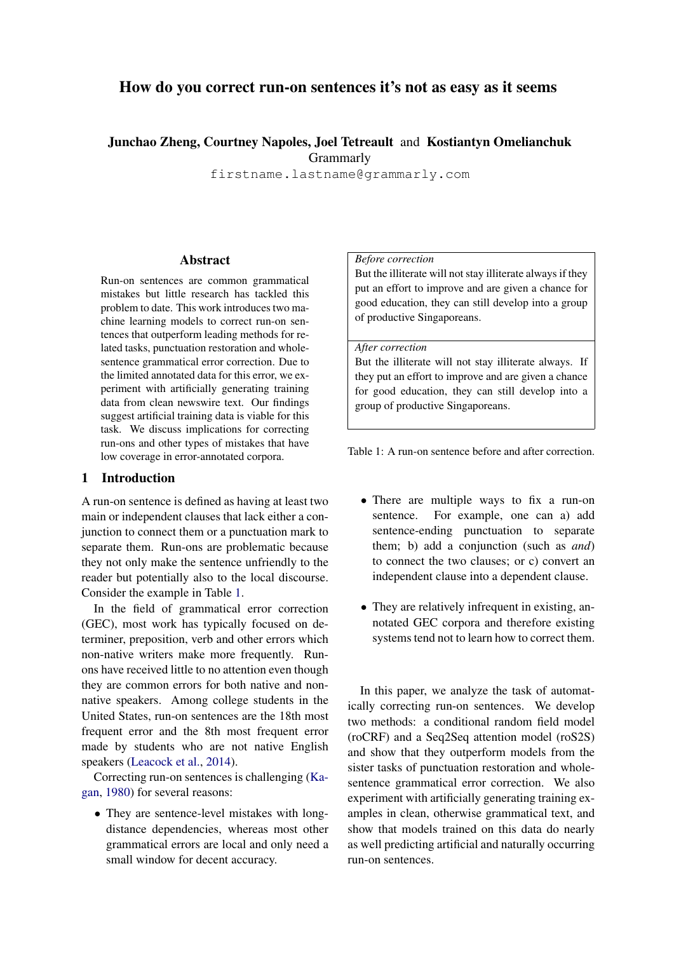# How do you correct run-on sentences it's not as easy as it seems

## Junchao Zheng, Courtney Napoles, Joel Tetreault and Kostiantyn Omelianchuk **Grammarly**

firstname.lastname@grammarly.com

#### Abstract

Run-on sentences are common grammatical mistakes but little research has tackled this problem to date. This work introduces two machine learning models to correct run-on sentences that outperform leading methods for related tasks, punctuation restoration and wholesentence grammatical error correction. Due to the limited annotated data for this error, we experiment with artificially generating training data from clean newswire text. Our findings suggest artificial training data is viable for this task. We discuss implications for correcting run-ons and other types of mistakes that have low coverage in error-annotated corpora.

## 1 Introduction

A run-on sentence is defined as having at least two main or independent clauses that lack either a conjunction to connect them or a punctuation mark to separate them. Run-ons are problematic because they not only make the sentence unfriendly to the reader but potentially also to the local discourse. Consider the example in Table [1.](#page-0-0)

In the field of grammatical error correction (GEC), most work has typically focused on determiner, preposition, verb and other errors which non-native writers make more frequently. Runons have received little to no attention even though they are common errors for both native and nonnative speakers. Among college students in the United States, run-on sentences are the 18th most frequent error and the 8th most frequent error made by students who are not native English speakers [\(Leacock et al.,](#page-5-0) [2014\)](#page-5-0).

Correcting run-on sentences is challenging [\(Ka](#page-5-1)[gan,](#page-5-1) [1980\)](#page-5-1) for several reasons:

• They are sentence-level mistakes with longdistance dependencies, whereas most other grammatical errors are local and only need a small window for decent accuracy.

#### *Before correction*

But the illiterate will not stay illiterate always if they put an effort to improve and are given a chance for good education, they can still develop into a group of productive Singaporeans.

#### *After correction*

But the illiterate will not stay illiterate always. If they put an effort to improve and are given a chance for good education, they can still develop into a group of productive Singaporeans.

<span id="page-0-0"></span>Table 1: A run-on sentence before and after correction.

- There are multiple ways to fix a run-on sentence. For example, one can a) add sentence-ending punctuation to separate them; b) add a conjunction (such as *and*) to connect the two clauses; or c) convert an independent clause into a dependent clause.
- They are relatively infrequent in existing, annotated GEC corpora and therefore existing systems tend not to learn how to correct them.

In this paper, we analyze the task of automatically correcting run-on sentences. We develop two methods: a conditional random field model (roCRF) and a Seq2Seq attention model (roS2S) and show that they outperform models from the sister tasks of punctuation restoration and wholesentence grammatical error correction. We also experiment with artificially generating training examples in clean, otherwise grammatical text, and show that models trained on this data do nearly as well predicting artificial and naturally occurring run-on sentences.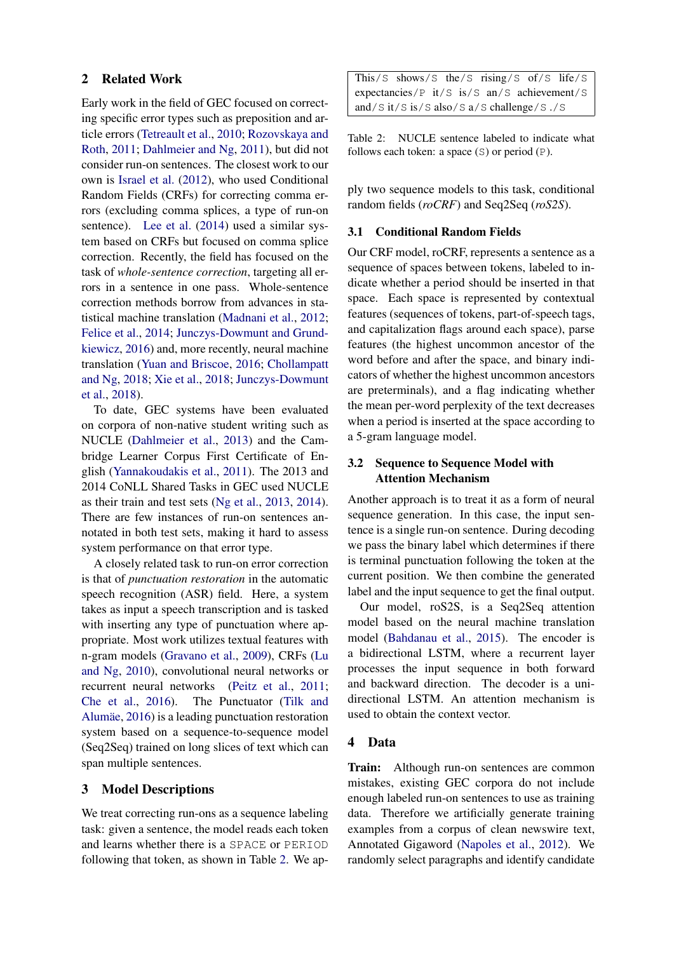## 2 Related Work

Early work in the field of GEC focused on correcting specific error types such as preposition and article errors [\(Tetreault et al.,](#page-5-2) [2010;](#page-5-2) [Rozovskaya and](#page-5-3) [Roth,](#page-5-3) [2011;](#page-5-3) [Dahlmeier and Ng,](#page-4-0) [2011\)](#page-4-0), but did not consider run-on sentences. The closest work to our own is [Israel et al.](#page-4-1) [\(2012\)](#page-4-1), who used Conditional Random Fields (CRFs) for correcting comma errors (excluding comma splices, a type of run-on sentence). [Lee et al.](#page-5-4) [\(2014\)](#page-5-4) used a similar system based on CRFs but focused on comma splice correction. Recently, the field has focused on the task of *whole-sentence correction*, targeting all errors in a sentence in one pass. Whole-sentence correction methods borrow from advances in statistical machine translation [\(Madnani et al.,](#page-5-5) [2012;](#page-5-5) [Felice et al.,](#page-4-2) [2014;](#page-4-2) [Junczys-Dowmunt and Grund](#page-4-3)[kiewicz,](#page-4-3) [2016\)](#page-4-3) and, more recently, neural machine translation [\(Yuan and Briscoe,](#page-5-6) [2016;](#page-5-6) [Chollampatt](#page-4-4) [and Ng,](#page-4-4) [2018;](#page-4-4) [Xie et al.,](#page-5-7) [2018;](#page-5-7) [Junczys-Dowmunt](#page-4-5) [et al.,](#page-4-5) [2018\)](#page-4-5).

To date, GEC systems have been evaluated on corpora of non-native student writing such as NUCLE [\(Dahlmeier et al.,](#page-4-6) [2013\)](#page-4-6) and the Cambridge Learner Corpus First Certificate of English [\(Yannakoudakis et al.,](#page-5-8) [2011\)](#page-5-8). The 2013 and 2014 CoNLL Shared Tasks in GEC used NUCLE as their train and test sets [\(Ng et al.,](#page-5-9) [2013,](#page-5-9) [2014\)](#page-5-10). There are few instances of run-on sentences annotated in both test sets, making it hard to assess system performance on that error type.

A closely related task to run-on error correction is that of *punctuation restoration* in the automatic speech recognition (ASR) field. Here, a system takes as input a speech transcription and is tasked with inserting any type of punctuation where appropriate. Most work utilizes textual features with n-gram models [\(Gravano et al.,](#page-4-7) [2009\)](#page-4-7), CRFs [\(Lu](#page-5-11) [and Ng,](#page-5-11) [2010\)](#page-5-11), convolutional neural networks or recurrent neural networks [\(Peitz et al.,](#page-5-12) [2011;](#page-5-12) [Che et al.,](#page-4-8) [2016\)](#page-4-8). The Punctuator [\(Tilk and](#page-5-13) Alumäe, [2016\)](#page-5-13) is a leading punctuation restoration system based on a sequence-to-sequence model (Seq2Seq) trained on long slices of text which can span multiple sentences.

## 3 Model Descriptions

We treat correcting run-ons as a sequence labeling task: given a sentence, the model reads each token and learns whether there is a SPACE or PERIOD following that token, as shown in Table [2.](#page-1-0) We apThis/S shows/S the/S rising/S of/S life/S expectancies/P it/S is/S an/S achievement/S and/S it/S is/S also/S a/S challenge/S ./S

<span id="page-1-0"></span>Table 2: NUCLE sentence labeled to indicate what follows each token: a space  $(S)$  or period  $(P)$ .

ply two sequence models to this task, conditional random fields (*roCRF*) and Seq2Seq (*roS2S*).

#### 3.1 Conditional Random Fields

Our CRF model, roCRF, represents a sentence as a sequence of spaces between tokens, labeled to indicate whether a period should be inserted in that space. Each space is represented by contextual features (sequences of tokens, part-of-speech tags, and capitalization flags around each space), parse features (the highest uncommon ancestor of the word before and after the space, and binary indicators of whether the highest uncommon ancestors are preterminals), and a flag indicating whether the mean per-word perplexity of the text decreases when a period is inserted at the space according to a 5-gram language model.

## 3.2 Sequence to Sequence Model with Attention Mechanism

Another approach is to treat it as a form of neural sequence generation. In this case, the input sentence is a single run-on sentence. During decoding we pass the binary label which determines if there is terminal punctuation following the token at the current position. We then combine the generated label and the input sequence to get the final output.

Our model, roS2S, is a Seq2Seq attention model based on the neural machine translation model [\(Bahdanau et al.,](#page-4-9) [2015\)](#page-4-9). The encoder is a bidirectional LSTM, where a recurrent layer processes the input sequence in both forward and backward direction. The decoder is a unidirectional LSTM. An attention mechanism is used to obtain the context vector.

## 4 Data

Train: Although run-on sentences are common mistakes, existing GEC corpora do not include enough labeled run-on sentences to use as training data. Therefore we artificially generate training examples from a corpus of clean newswire text, Annotated Gigaword [\(Napoles et al.,](#page-5-14) [2012\)](#page-5-14). We randomly select paragraphs and identify candidate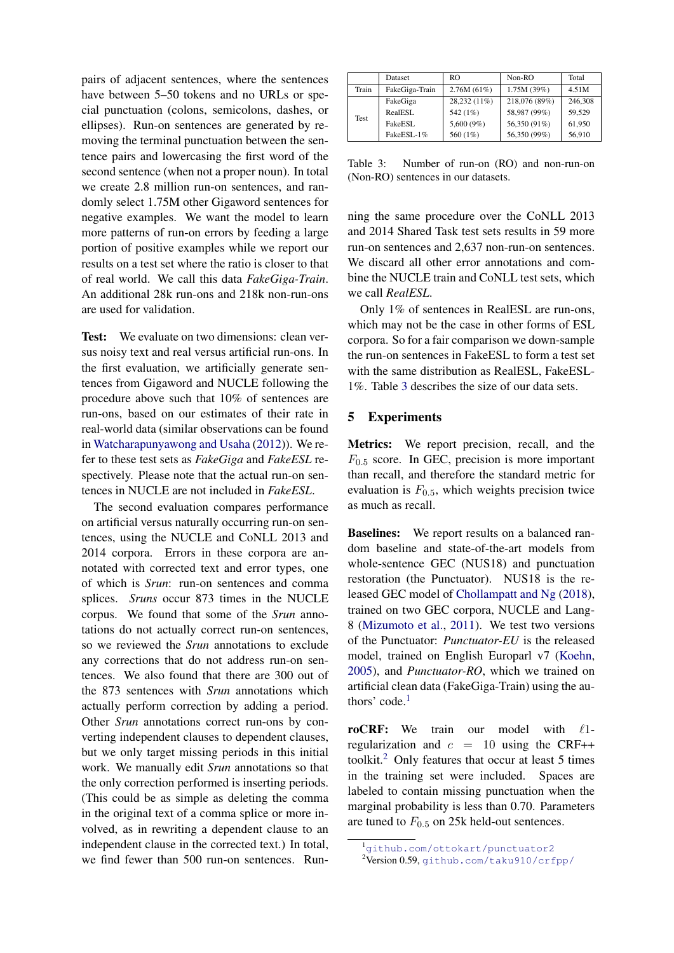pairs of adjacent sentences, where the sentences have between 5–50 tokens and no URLs or special punctuation (colons, semicolons, dashes, or ellipses). Run-on sentences are generated by removing the terminal punctuation between the sentence pairs and lowercasing the first word of the second sentence (when not a proper noun). In total we create 2.8 million run-on sentences, and randomly select 1.75M other Gigaword sentences for negative examples. We want the model to learn more patterns of run-on errors by feeding a large portion of positive examples while we report our results on a test set where the ratio is closer to that of real world. We call this data *FakeGiga-Train*. An additional 28k run-ons and 218k non-run-ons are used for validation.

Test: We evaluate on two dimensions: clean versus noisy text and real versus artificial run-ons. In the first evaluation, we artificially generate sentences from Gigaword and NUCLE following the procedure above such that 10% of sentences are run-ons, based on our estimates of their rate in real-world data (similar observations can be found in [Watcharapunyawong and Usaha](#page-5-15) [\(2012\)](#page-5-15)). We refer to these test sets as *FakeGiga* and *FakeESL* respectively. Please note that the actual run-on sentences in NUCLE are not included in *FakeESL*.

The second evaluation compares performance on artificial versus naturally occurring run-on sentences, using the NUCLE and CoNLL 2013 and 2014 corpora. Errors in these corpora are annotated with corrected text and error types, one of which is *Srun*: run-on sentences and comma splices. *Sruns* occur 873 times in the NUCLE corpus. We found that some of the *Srun* annotations do not actually correct run-on sentences, so we reviewed the *Srun* annotations to exclude any corrections that do not address run-on sentences. We also found that there are 300 out of the 873 sentences with *Srun* annotations which actually perform correction by adding a period. Other *Srun* annotations correct run-ons by converting independent clauses to dependent clauses, but we only target missing periods in this initial work. We manually edit *Srun* annotations so that the only correction performed is inserting periods. (This could be as simple as deleting the comma in the original text of a comma splice or more involved, as in rewriting a dependent clause to an independent clause in the corrected text.) In total, we find fewer than 500 run-on sentences. Run-

|       | Dataset        | RO.           | Non-RO        | Total   |
|-------|----------------|---------------|---------------|---------|
| Train | FakeGiga-Train | 2.76M(61%)    | 1.75M(39%)    | 4.51M   |
| Test  | FakeGiga       | 28,232 (11%)  | 218,076 (89%) | 246,308 |
|       | RealESL        | 542 (1%)      | 58,987 (99%)  | 59.529  |
|       | FakeESL        | 5,600 $(9\%)$ | 56,350 (91%)  | 61,950  |
|       | FakeESL-1%     | 560 (1%)      | 56,350 (99%)  | 56,910  |

<span id="page-2-0"></span>Table 3: Number of run-on (RO) and non-run-on (Non-RO) sentences in our datasets.

ning the same procedure over the CoNLL 2013 and 2014 Shared Task test sets results in 59 more run-on sentences and 2,637 non-run-on sentences. We discard all other error annotations and combine the NUCLE train and CoNLL test sets, which we call *RealESL*.

Only 1% of sentences in RealESL are run-ons, which may not be the case in other forms of ESL corpora. So for a fair comparison we down-sample the run-on sentences in FakeESL to form a test set with the same distribution as RealESL, FakeESL-1%. Table [3](#page-2-0) describes the size of our data sets.

#### 5 Experiments

Metrics: We report precision, recall, and the  $F_{0.5}$  score. In GEC, precision is more important than recall, and therefore the standard metric for evaluation is  $F_{0.5}$ , which weights precision twice as much as recall.

Baselines: We report results on a balanced random baseline and state-of-the-art models from whole-sentence GEC (NUS18) and punctuation restoration (the Punctuator). NUS18 is the released GEC model of [Chollampatt and Ng](#page-4-4) [\(2018\)](#page-4-4), trained on two GEC corpora, NUCLE and Lang-8 [\(Mizumoto et al.,](#page-5-16) [2011\)](#page-5-16). We test two versions of the Punctuator: *Punctuator-EU* is the released model, trained on English Europarl v7 [\(Koehn,](#page-5-17) [2005\)](#page-5-17), and *Punctuator-RO*, which we trained on artificial clean data (FakeGiga-Train) using the authors' code. $<sup>1</sup>$  $<sup>1</sup>$  $<sup>1</sup>$ </sup>

roCRF: We train our model with  $\ell$ 1regularization and  $c = 10$  using the CRF++ toolkit.[2](#page-2-2) Only features that occur at least 5 times in the training set were included. Spaces are labeled to contain missing punctuation when the marginal probability is less than 0.70. Parameters are tuned to  $F_{0.5}$  on 25k held-out sentences.

<span id="page-2-1"></span><sup>1</sup><github.com/ottokart/punctuator2>

<span id="page-2-2"></span><sup>2</sup>Version 0.59, <github.com/taku910/crfpp/>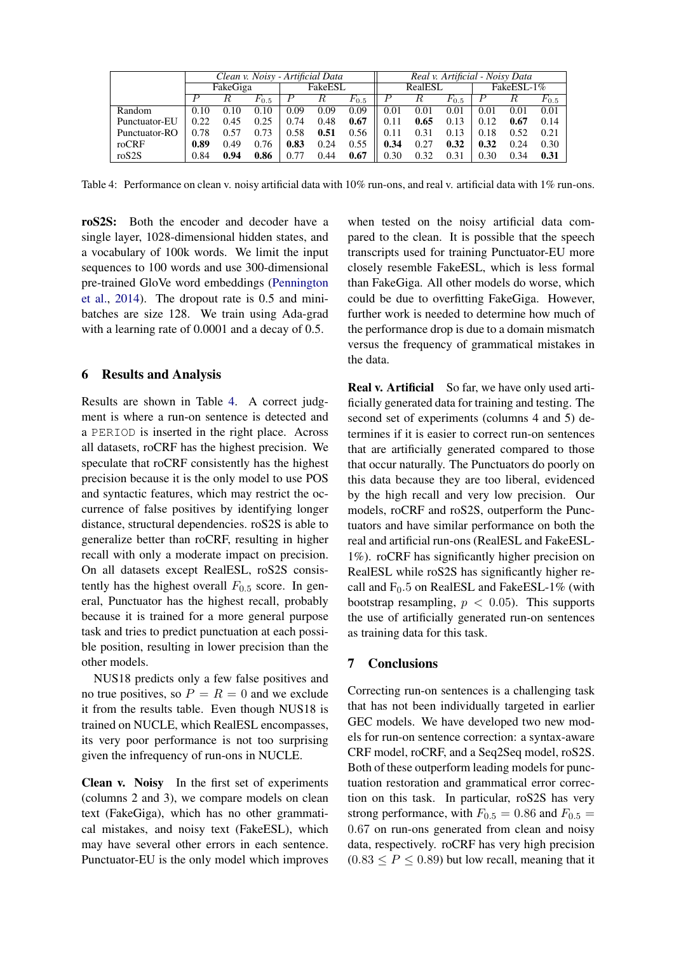|                | Clean v. Noisy - Artificial Data |      |           |         |      |           | Real v. Artificial - Noisy Data |            |           |      |      |           |
|----------------|----------------------------------|------|-----------|---------|------|-----------|---------------------------------|------------|-----------|------|------|-----------|
|                | FakeGiga                         |      |           | FakeESL |      | RealESL   |                                 | FakeESL-1% |           |      |      |           |
|                |                                  |      | $F_{0.5}$ |         |      | $F_{0.5}$ |                                 |            | $F_{0.5}$ |      |      | $F_{0.5}$ |
| Random         | 0.10                             | 0.10 | 0.10      | 0.09    | 0.09 | 0.09      | 0.01                            | 0.01       | 0.01      | 0.01 | 0.01 | 0.01      |
| Punctuator-EU  | 0.22                             | 0.45 | 0.25      | 0.74    | 0.48 | 0.67      | 0.11                            | 0.65       | 0.13      | 0.12 | 0.67 | 0.14      |
| Punctuator-RO  | 0.78                             | 0.57 | 0.73      | 0.58    | 0.51 | 0.56      | 0.11                            | 0.31       | 0.13      | 0.18 | 0.52 | 0.21      |
| roCRF          | 0.89                             | 0.49 | 0.76      | 0.83    | 0.24 | 0.55      | 0.34                            | 0.27       | 0.32      | 0.32 | 0.24 | 0.30      |
| $\text{roS2S}$ | 0.84                             | 0.94 | 0.86      | 0.77    | 0.44 | 0.67      | 0.30                            | 0.32       | 0.31      | 0.30 | 0.34 | 0.31      |

<span id="page-3-0"></span>Table 4: Performance on clean v. noisy artificial data with 10% run-ons, and real v. artificial data with 1% run-ons.

roS2S: Both the encoder and decoder have a single layer, 1028-dimensional hidden states, and a vocabulary of 100k words. We limit the input sequences to 100 words and use 300-dimensional pre-trained GloVe word embeddings [\(Pennington](#page-5-18) [et al.,](#page-5-18) [2014\)](#page-5-18). The dropout rate is 0.5 and minibatches are size 128. We train using Ada-grad with a learning rate of 0.0001 and a decay of 0.5.

## 6 Results and Analysis

Results are shown in Table [4.](#page-3-0) A correct judgment is where a run-on sentence is detected and a PERIOD is inserted in the right place. Across all datasets, roCRF has the highest precision. We speculate that roCRF consistently has the highest precision because it is the only model to use POS and syntactic features, which may restrict the occurrence of false positives by identifying longer distance, structural dependencies. roS2S is able to generalize better than roCRF, resulting in higher recall with only a moderate impact on precision. On all datasets except RealESL, roS2S consistently has the highest overall  $F_{0.5}$  score. In general, Punctuator has the highest recall, probably because it is trained for a more general purpose task and tries to predict punctuation at each possible position, resulting in lower precision than the other models.

NUS18 predicts only a few false positives and no true positives, so  $P = R = 0$  and we exclude it from the results table. Even though NUS18 is trained on NUCLE, which RealESL encompasses, its very poor performance is not too surprising given the infrequency of run-ons in NUCLE.

Clean v. Noisy In the first set of experiments (columns 2 and 3), we compare models on clean text (FakeGiga), which has no other grammatical mistakes, and noisy text (FakeESL), which may have several other errors in each sentence. Punctuator-EU is the only model which improves

when tested on the noisy artificial data compared to the clean. It is possible that the speech transcripts used for training Punctuator-EU more closely resemble FakeESL, which is less formal than FakeGiga. All other models do worse, which could be due to overfitting FakeGiga. However, further work is needed to determine how much of the performance drop is due to a domain mismatch versus the frequency of grammatical mistakes in the data.

Real v. Artificial So far, we have only used artificially generated data for training and testing. The second set of experiments (columns 4 and 5) determines if it is easier to correct run-on sentences that are artificially generated compared to those that occur naturally. The Punctuators do poorly on this data because they are too liberal, evidenced by the high recall and very low precision. Our models, roCRF and roS2S, outperform the Punctuators and have similar performance on both the real and artificial run-ons (RealESL and FakeESL-1%). roCRF has significantly higher precision on RealESL while roS2S has significantly higher recall and  $F_0.5$  on RealESL and FakeESL-1% (with bootstrap resampling,  $p < 0.05$ ). This supports the use of artificially generated run-on sentences as training data for this task.

## 7 Conclusions

Correcting run-on sentences is a challenging task that has not been individually targeted in earlier GEC models. We have developed two new models for run-on sentence correction: a syntax-aware CRF model, roCRF, and a Seq2Seq model, roS2S. Both of these outperform leading models for punctuation restoration and grammatical error correction on this task. In particular, roS2S has very strong performance, with  $F_{0.5} = 0.86$  and  $F_{0.5} =$ 0.67 on run-ons generated from clean and noisy data, respectively. roCRF has very high precision  $(0.83 \le P \le 0.89)$  but low recall, meaning that it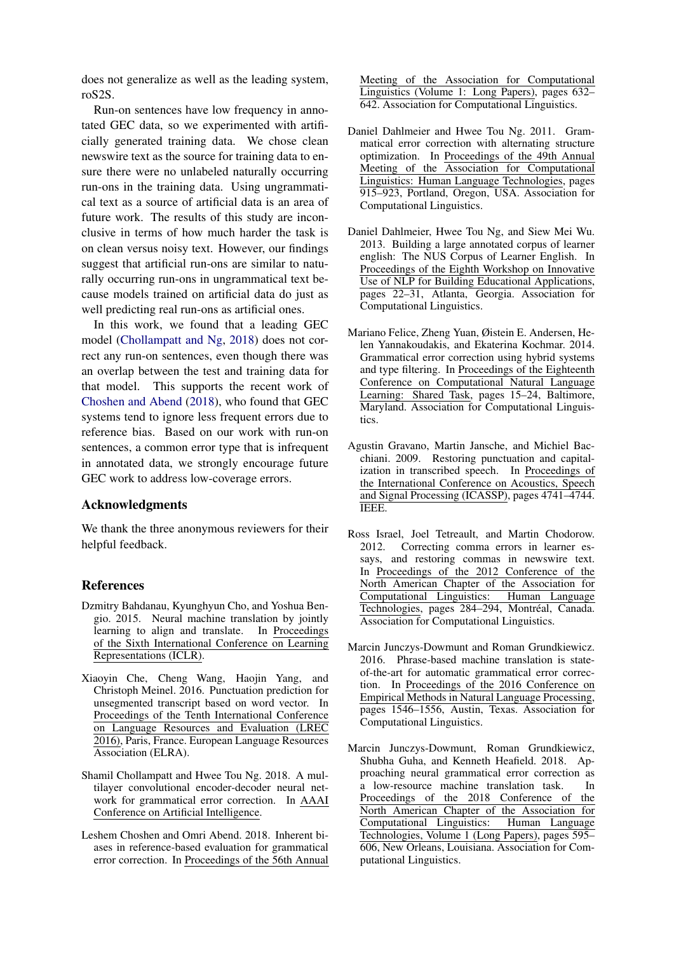does not generalize as well as the leading system, roS2S.

Run-on sentences have low frequency in annotated GEC data, so we experimented with artificially generated training data. We chose clean newswire text as the source for training data to ensure there were no unlabeled naturally occurring run-ons in the training data. Using ungrammatical text as a source of artificial data is an area of future work. The results of this study are inconclusive in terms of how much harder the task is on clean versus noisy text. However, our findings suggest that artificial run-ons are similar to naturally occurring run-ons in ungrammatical text because models trained on artificial data do just as well predicting real run-ons as artificial ones.

In this work, we found that a leading GEC model [\(Chollampatt and Ng,](#page-4-4) [2018\)](#page-4-4) does not correct any run-on sentences, even though there was an overlap between the test and training data for that model. This supports the recent work of [Choshen and Abend](#page-4-10) [\(2018\)](#page-4-10), who found that GEC systems tend to ignore less frequent errors due to reference bias. Based on our work with run-on sentences, a common error type that is infrequent in annotated data, we strongly encourage future GEC work to address low-coverage errors.

## Acknowledgments

We thank the three anonymous reviewers for their helpful feedback.

#### References

- <span id="page-4-9"></span>Dzmitry Bahdanau, Kyunghyun Cho, and Yoshua Bengio. 2015. Neural machine translation by jointly learning to align and translate. In Proceedings of the Sixth International Conference on Learning Representations (ICLR).
- <span id="page-4-8"></span>Xiaoyin Che, Cheng Wang, Haojin Yang, and Christoph Meinel. 2016. Punctuation prediction for unsegmented transcript based on word vector. In Proceedings of the Tenth International Conference on Language Resources and Evaluation (LREC 2016), Paris, France. European Language Resources Association (ELRA).
- <span id="page-4-4"></span>Shamil Chollampatt and Hwee Tou Ng. 2018. A multilayer convolutional encoder-decoder neural network for grammatical error correction. In AAAI Conference on Artificial Intelligence.
- <span id="page-4-10"></span>Leshem Choshen and Omri Abend. 2018. Inherent biases in reference-based evaluation for grammatical error correction. In Proceedings of the 56th Annual

Meeting of the Association for Computational Linguistics (Volume 1: Long Papers), pages 632– 642. Association for Computational Linguistics.

- <span id="page-4-0"></span>Daniel Dahlmeier and Hwee Tou Ng. 2011. Grammatical error correction with alternating structure optimization. In Proceedings of the 49th Annual Meeting of the Association for Computational Linguistics: Human Language Technologies, pages 915–923, Portland, Oregon, USA. Association for Computational Linguistics.
- <span id="page-4-6"></span>Daniel Dahlmeier, Hwee Tou Ng, and Siew Mei Wu. 2013. Building a large annotated corpus of learner english: The NUS Corpus of Learner English. In Proceedings of the Eighth Workshop on Innovative Use of NLP for Building Educational Applications, pages 22–31, Atlanta, Georgia. Association for Computational Linguistics.
- <span id="page-4-2"></span>Mariano Felice, Zheng Yuan, Øistein E. Andersen, Helen Yannakoudakis, and Ekaterina Kochmar. 2014. Grammatical error correction using hybrid systems and type filtering. In Proceedings of the Eighteenth Conference on Computational Natural Language Learning: Shared Task, pages 15–24, Baltimore, Maryland. Association for Computational Linguistics.
- <span id="page-4-7"></span>Agustin Gravano, Martin Jansche, and Michiel Bacchiani. 2009. Restoring punctuation and capitalization in transcribed speech. In Proceedings of the International Conference on Acoustics, Speech and Signal Processing (ICASSP), pages 4741–4744. IEEE.
- <span id="page-4-1"></span>Ross Israel, Joel Tetreault, and Martin Chodorow. 2012. Correcting comma errors in learner essays, and restoring commas in newswire text. In Proceedings of the 2012 Conference of the North American Chapter of the Association for Computational Linguistics: Human Language Technologies, pages 284–294, Montréal, Canada. Association for Computational Linguistics.
- <span id="page-4-3"></span>Marcin Junczys-Dowmunt and Roman Grundkiewicz. 2016. Phrase-based machine translation is stateof-the-art for automatic grammatical error correction. In Proceedings of the 2016 Conference on Empirical Methods in Natural Language Processing, pages 1546–1556, Austin, Texas. Association for Computational Linguistics.
- <span id="page-4-5"></span>Marcin Junczys-Dowmunt, Roman Grundkiewicz, Shubha Guha, and Kenneth Heafield. 2018. Approaching neural grammatical error correction as a low-resource machine translation task. In Proceedings of the 2018 Conference of the North American Chapter of the Association for Computational Linguistics: Human Language Technologies, Volume 1 (Long Papers), pages 595– 606, New Orleans, Louisiana. Association for Computational Linguistics.